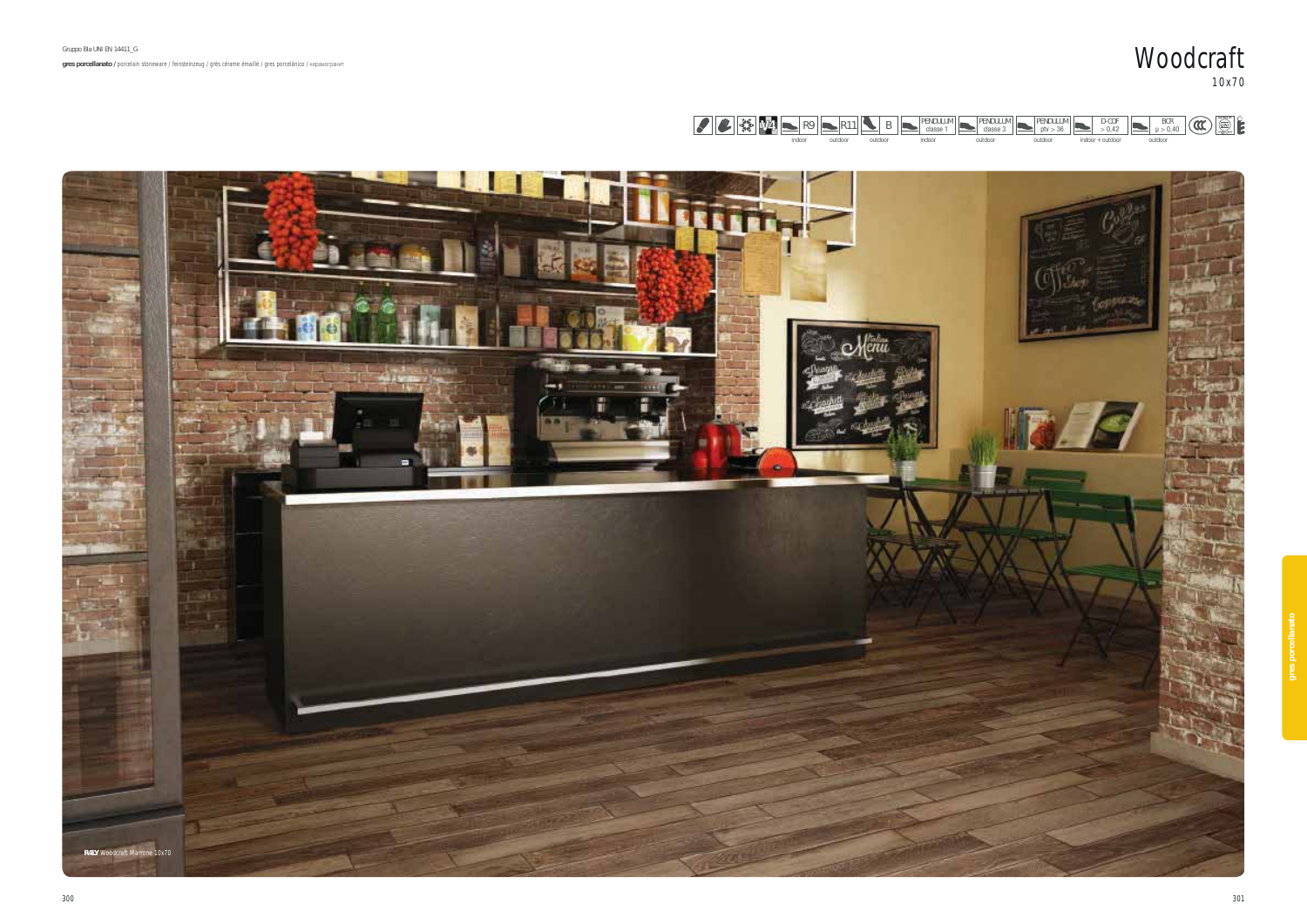









 $\blacktriangleright$ indoor + outdoor

outdoor

D-COF > 0,42

 $\blacktriangleright$